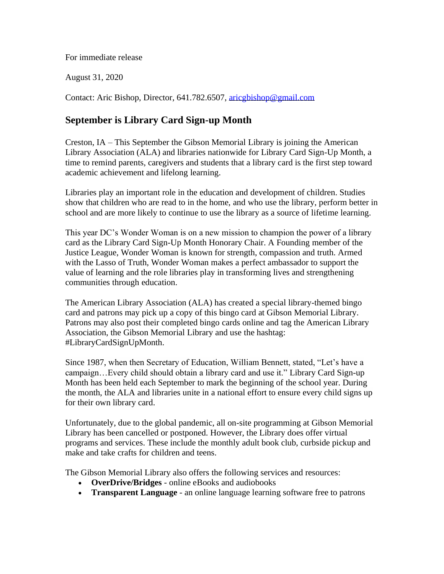For immediate release

August 31, 2020

Contact: Aric Bishop, Director, 641.782.6507, [aricgbishop@gmail.com](mailto:aricgbishop@gmail.com)

## **September is Library Card Sign-up Month**

Creston, IA – This September the Gibson Memorial Library is joining the American Library Association (ALA) and libraries nationwide for Library Card Sign-Up Month, a time to remind parents, caregivers and students that a library card is the first step toward academic achievement and lifelong learning.

Libraries play an important role in the education and development of children. Studies show that children who are read to in the home, and who use the library, perform better in school and are more likely to continue to use the library as a source of lifetime learning.

This year DC's Wonder Woman is on a new mission to champion the power of a library card as the Library Card Sign-Up Month Honorary Chair. A Founding member of the Justice League, Wonder Woman is known for strength, compassion and truth. Armed with the Lasso of Truth, Wonder Woman makes a perfect ambassador to support the value of learning and the role libraries play in transforming lives and strengthening communities through education.

The American Library Association (ALA) has created a special library-themed bingo card and patrons may pick up a copy of this bingo card at Gibson Memorial Library. Patrons may also post their completed bingo cards online and tag the American Library Association, the Gibson Memorial Library and use the hashtag: #LibraryCardSignUpMonth.

Since 1987, when then Secretary of Education, William Bennett, stated, "Let's have a campaign…Every child should obtain a library card and use it." Library Card Sign-up Month has been held each September to mark the beginning of the school year. During the month, the ALA and libraries unite in a national effort to ensure every child signs up for their own library card.

Unfortunately, due to the global pandemic, all on-site programming at Gibson Memorial Library has been cancelled or postponed. However, the Library does offer virtual programs and services. These include the monthly adult book club, curbside pickup and make and take crafts for children and teens.

The Gibson Memorial Library also offers the following services and resources:

- **OverDrive/Bridges** online eBooks and audiobooks
- **Transparent Language** an online language learning software free to patrons